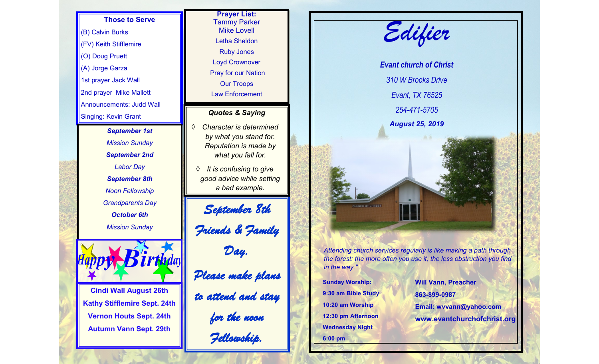## **Those to Serve**

(B) Calvin Burks (FV) Keith Stifflemire (O) Doug Pruett (A) Jorge Garza 1st prayer Jack Wall 2nd prayer Mike Mallett Announcements: Judd Wall Singing: Kevin Grant

> *September 1st Mission Sunday September 2nd Labor Day September 8th Noon Fellowship Grandparents Day October 6th Mission Sunday*



**Cindi Wall August 26th Kathy Stifflemire Sept. 24th Vernon Houts Sept. 24th Autumn Vann Sept. 29th**

**Prayer List:**  Tammy Parker Mike Lovell Letha Sheldon Ruby Jones Loyd Crownover Pray for our Nation Our Troops Law Enforcement

## *Quotes & Saying*

 *Character is determined by what you stand for. Reputation is made by what you fall for.* 

 *It is confusing to give good advice while setting a bad example.* 

*September 8th Friends & Family Day. Please make plans to attend and stay for the noon Fellowship.* 



*Attending church services regularly is like making a path through the forest: the more often you use it, the less obstruction you find in the way."*

**Sunday Worship: 9:30 am Bible Study 10:20 am Worship 12:30 pm Afternoon Wednesday Night 6:00 pm**

**Will Vann, Preacher 863-899-0987 Email: wvvann@yahoo.com www.evantchurchofchrist.org**